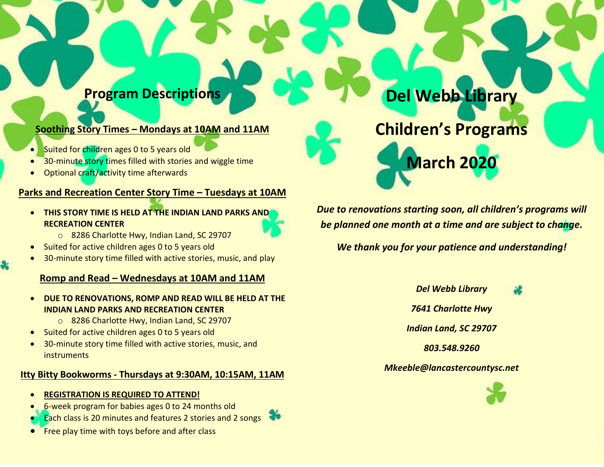# **Program Descriptions**

## **Soothing Story Times – Mondays at 10AM and 11AM**

- Suited for children ages 0 to 5 years old
- 30-minute story times filled with stories and wiggle time
- Optional craft/activity time afterwards

#### **Parks and Recreation Center Story Time – Tuesdays at 10AM**

 **THIS STORY TIME IS HELD AT THE INDIAN LAND PARKS AND RECREATION CENTER**



- o 8286 Charlotte Hwy, Indian Land, SC 29707
- Suited for active children ages 0 to 5 years old
- 30-minute story time filled with active stories, music, and play

## **Romp and Read – Wednesdays at 10AM and 11AM**

#### **DUE TO RENOVATIONS, ROMP AND READ WILL BE HELD AT THE INDIAN LAND PARKS AND RECREATION CENTER**

- o 8286 Charlotte Hwy, Indian Land, SC 29707
- Suited for active children ages 0 to 5 years old
- 30-minute story time filled with active stories, music, and instruments

## **Itty Bitty Bookworms - Thursdays at 9:30AM, 10:15AM, 11AM**

- **REGISTRATION IS REQUIRED TO ATTEND!**
- 6-week program for babies ages 0 to 24 months old
- Each class is 20 minutes and features 2 stories and 2 songs
- Free play time with toys before and after class

**Del Webb Library**

**Children's Programs**

**March 2020**

*Due to renovations starting soon, all children's programs will be planned one month at a time and are subject to change.* 

*We thank you for your patience and understanding!*

*Del Webb Library*

*7641 Charlotte Hwy*

*Indian Land, SC 29707*

*803.548.9260*

## *Mkeeble@lancastercountysc.net*